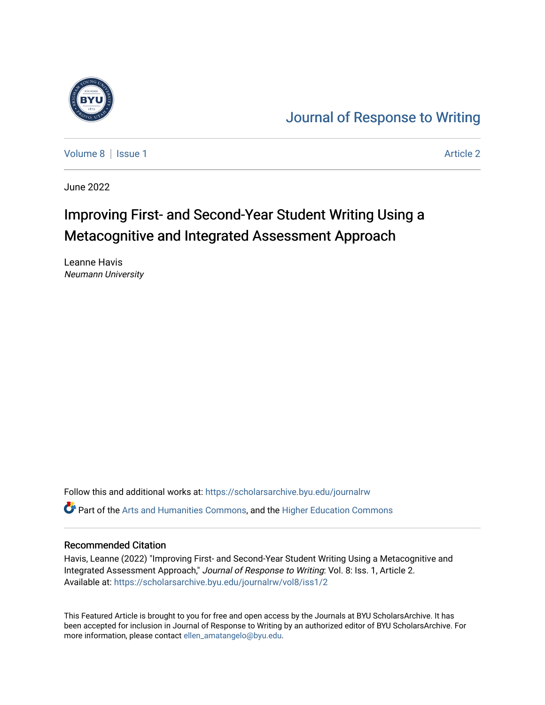

## [Journal of Response to Writing](https://scholarsarchive.byu.edu/journalrw)

[Volume 8](https://scholarsarchive.byu.edu/journalrw/vol8) | [Issue 1](https://scholarsarchive.byu.edu/journalrw/vol8/iss1) Article 2

June 2022

# Improving First- and Second-Year Student Writing Using a Metacognitive and Integrated Assessment Approach

Leanne Havis Neumann University

Follow this and additional works at: [https://scholarsarchive.byu.edu/journalrw](https://scholarsarchive.byu.edu/journalrw?utm_source=scholarsarchive.byu.edu%2Fjournalrw%2Fvol8%2Fiss1%2F2&utm_medium=PDF&utm_campaign=PDFCoverPages) Part of the [Arts and Humanities Commons,](https://network.bepress.com/hgg/discipline/438?utm_source=scholarsarchive.byu.edu%2Fjournalrw%2Fvol8%2Fiss1%2F2&utm_medium=PDF&utm_campaign=PDFCoverPages) and the [Higher Education Commons](https://network.bepress.com/hgg/discipline/1245?utm_source=scholarsarchive.byu.edu%2Fjournalrw%2Fvol8%2Fiss1%2F2&utm_medium=PDF&utm_campaign=PDFCoverPages) 

#### Recommended Citation

Havis, Leanne (2022) "Improving First- and Second-Year Student Writing Using a Metacognitive and Integrated Assessment Approach," Journal of Response to Writing: Vol. 8: Iss. 1, Article 2. Available at: [https://scholarsarchive.byu.edu/journalrw/vol8/iss1/2](https://scholarsarchive.byu.edu/journalrw/vol8/iss1/2?utm_source=scholarsarchive.byu.edu%2Fjournalrw%2Fvol8%2Fiss1%2F2&utm_medium=PDF&utm_campaign=PDFCoverPages)

This Featured Article is brought to you for free and open access by the Journals at BYU ScholarsArchive. It has been accepted for inclusion in Journal of Response to Writing by an authorized editor of BYU ScholarsArchive. For more information, please contact [ellen\\_amatangelo@byu.edu.](mailto:ellen_amatangelo@byu.edu)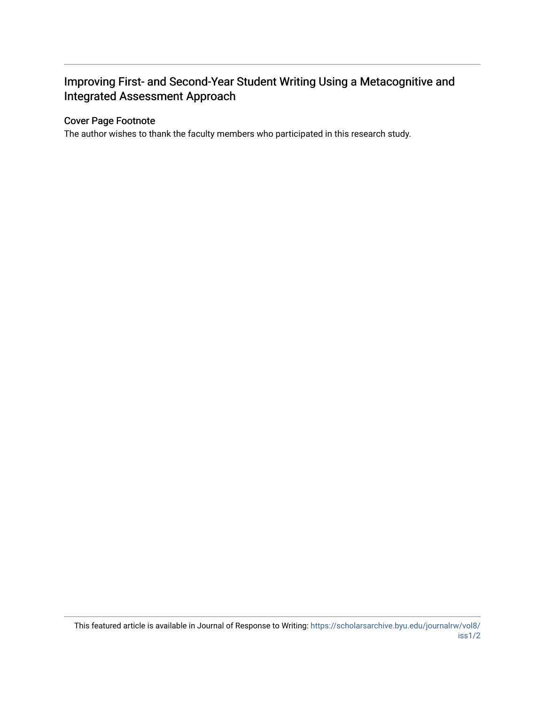## Improving First- and Second-Year Student Writing Using a Metacognitive and Integrated Assessment Approach

## Cover Page Footnote

The author wishes to thank the faculty members who participated in this research study.

This featured article is available in Journal of Response to Writing: [https://scholarsarchive.byu.edu/journalrw/vol8/](https://scholarsarchive.byu.edu/journalrw/vol8/iss1/2) [iss1/2](https://scholarsarchive.byu.edu/journalrw/vol8/iss1/2)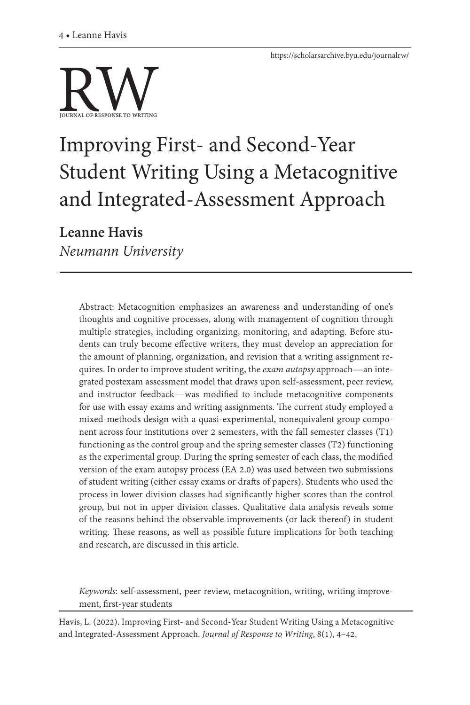

# Improving First- and Second-Year Student Writing Using a Metacognitive and Integrated-Assessment Approach

**Leanne Havis** *Neumann University*

> Abstract: Metacognition emphasizes an awareness and understanding of one's thoughts and cognitive processes, along with management of cognition through multiple strategies, including organizing, monitoring, and adapting. Before students can truly become effective writers, they must develop an appreciation for the amount of planning, organization, and revision that a writing assignment requires. In order to improve student writing, the *exam autopsy* approach—an integrated postexam assessment model that draws upon self-assessment, peer review, and instructor feedback—was modified to include metacognitive components for use with essay exams and writing assignments. The current study employed a mixed-methods design with a quasi-experimental, nonequivalent group component across four institutions over 2 semesters, with the fall semester classes (T1) functioning as the control group and the spring semester classes (T2) functioning as the experimental group. During the spring semester of each class, the modified version of the exam autopsy process (EA 2.0) was used between two submissions of student writing (either essay exams or drafts of papers). Students who used the process in lower division classes had significantly higher scores than the control group, but not in upper division classes. Qualitative data analysis reveals some of the reasons behind the observable improvements (or lack thereof) in student writing. These reasons, as well as possible future implications for both teaching and research, are discussed in this article.

> *Keywords*: self-assessment, peer review, metacognition, writing, writing improvement, first-year students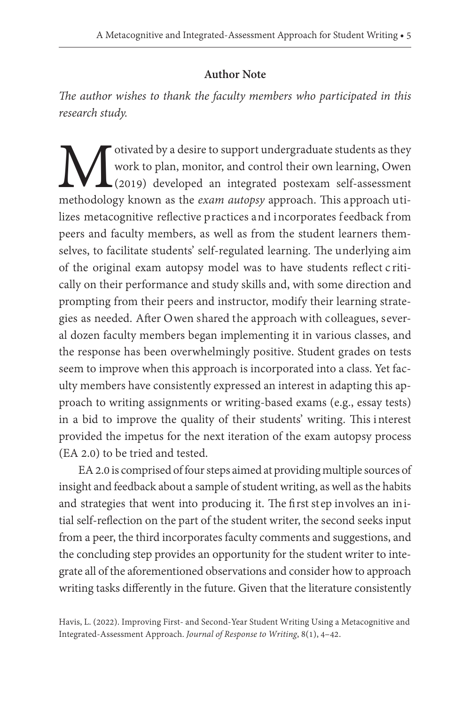## **Author Note**

*The author wishes to thank the faculty members who participated in this research study.* 

Motivated by a desire to support undergraduate students as they<br>work to plan, monitor, and control their own learning, Owen<br>methodology known as the *exam autopsy* approach. This approach utiwork to plan, monitor, and control their own learning, Owen (2019) developed an integrated postexam self-assessment methodology known as the *exam autopsy* approach. This approach utilizes metacognitive reflective practices and incorporates feedback from peers and faculty members, as well as from the student learners themselves, to facilitate students' self-regulated learning. The underlying aim of the original exam autopsy model was to have students reflect c ritically on their performance and study skills and, with some direction and prompting from their peers and instructor, modify their learning strategies as needed. After Owen shared the approach with colleagues, several dozen faculty members began implementing it in various classes, and the response has been overwhelmingly positive. Student grades on tests seem to improve when this approach is incorporated into a class. Yet faculty members have consistently expressed an interest in adapting this approach to writing assignments or writing-based exams (e.g., essay tests) in a bid to improve the quality of their students' writing. This i nterest provided the impetus for the next iteration of the exam autopsy process (EA 2.0) to be tried and tested.

EA 2.0 is comprised of four steps aimed at providing multiple sources of insight and feedback about a sample of student writing, as well as the habits and strategies that went into producing it. The first step involves an initial self-reflection on the part of the student writer, the second seeks input from a peer, the third incorporates faculty comments and suggestions, and the concluding step provides an opportunity for the student writer to integrate all of the aforementioned observations and consider how to approach writing tasks differently in the future. Given that the literature consistently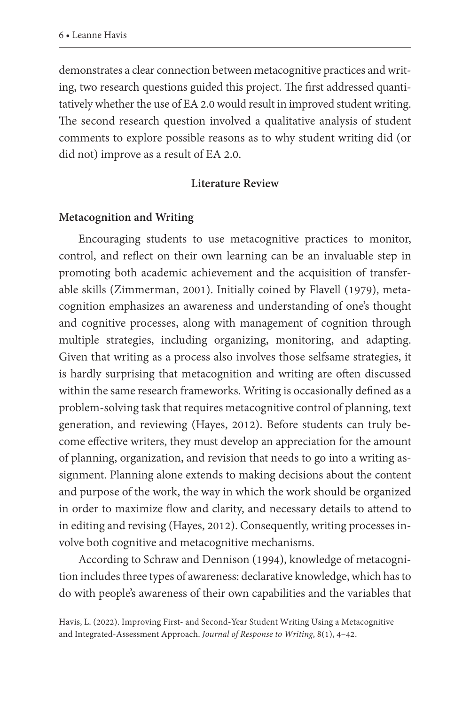demonstrates a clear connection between metacognitive practices and writing, two research questions guided this project. The first addressed quantitatively whether the use of EA 2.0 would result in improved student writing. The second research question involved a qualitative analysis of student comments to explore possible reasons as to why student writing did (or did not) improve as a result of EA 2.0.

#### **Literature Review**

#### **Metacognition and Writing**

Encouraging students to use metacognitive practices to monitor, control, and reflect on their own learning can be an invaluable step in promoting both academic achievement and the acquisition of transferable skills (Zimmerman, 2001). Initially coined by Flavell (1979), metacognition emphasizes an awareness and understanding of one's thought and cognitive processes, along with management of cognition through multiple strategies, including organizing, monitoring, and adapting. Given that writing as a process also involves those selfsame strategies, it is hardly surprising that metacognition and writing are often discussed within the same research frameworks. Writing is occasionally defined as a problem-solving task that requires metacognitive control of planning, text generation, and reviewing (Hayes, 2012). Before students can truly become effective writers, they must develop an appreciation for the amount of planning, organization, and revision that needs to go into a writing assignment. Planning alone extends to making decisions about the content and purpose of the work, the way in which the work should be organized in order to maximize flow and clarity, and necessary details to attend to in editing and revising (Hayes, 2012). Consequently, writing processes involve both cognitive and metacognitive mechanisms.

According to Schraw and Dennison (1994), knowledge of metacognition includes three types of awareness: declarative knowledge, which has to do with people's awareness of their own capabilities and the variables that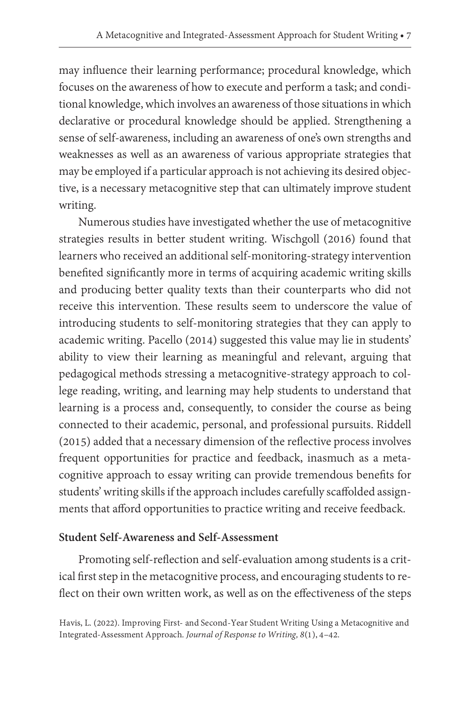may influence their learning performance; procedural knowledge, which focuses on the awareness of how to execute and perform a task; and conditional knowledge, which involves an awareness of those situations in which declarative or procedural knowledge should be applied. Strengthening a sense of self-awareness, including an awareness of one's own strengths and weaknesses as well as an awareness of various appropriate strategies that may be employed if a particular approach is not achieving its desired objective, is a necessary metacognitive step that can ultimately improve student writing.

Numerous studies have investigated whether the use of metacognitive strategies results in better student writing. Wischgoll (2016) found that learners who received an additional self-monitoring-strategy intervention benefited significantly more in terms of acquiring academic writing skills and producing better quality texts than their counterparts who did not receive this intervention. These results seem to underscore the value of introducing students to self-monitoring strategies that they can apply to academic writing. Pacello (2014) suggested this value may lie in students' ability to view their learning as meaningful and relevant, arguing that pedagogical methods stressing a metacognitive-strategy approach to college reading, writing, and learning may help students to understand that learning is a process and, consequently, to consider the course as being connected to their academic, personal, and professional pursuits. Riddell (2015) added that a necessary dimension of the reflective process involves frequent opportunities for practice and feedback, inasmuch as a metacognitive approach to essay writing can provide tremendous benefits for students' writing skills if the approach includes carefully scaffolded assignments that afford opportunities to practice writing and receive feedback.

#### **Student Self-Awareness and Self-Assessment**

Promoting self-reflection and self-evaluation among students is a critical first step in the metacognitive process, and encouraging students to reflect on their own written work, as well as on the effectiveness of the steps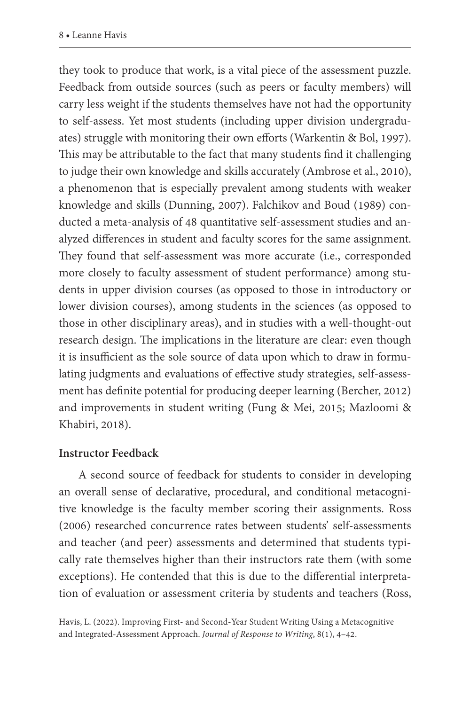they took to produce that work, is a vital piece of the assessment puzzle. Feedback from outside sources (such as peers or faculty members) will carry less weight if the students themselves have not had the opportunity to self-assess. Yet most students (including upper division undergraduates) struggle with monitoring their own efforts (Warkentin & Bol, 1997). This may be attributable to the fact that many students find it challenging to judge their own knowledge and skills accurately (Ambrose et al., 2010), a phenomenon that is especially prevalent among students with weaker knowledge and skills (Dunning, 2007). Falchikov and Boud (1989) conducted a meta-analysis of 48 quantitative self-assessment studies and analyzed differences in student and faculty scores for the same assignment. They found that self-assessment was more accurate (i.e., corresponded more closely to faculty assessment of student performance) among students in upper division courses (as opposed to those in introductory or lower division courses), among students in the sciences (as opposed to those in other disciplinary areas), and in studies with a well-thought-out research design. The implications in the literature are clear: even though it is insufficient as the sole source of data upon which to draw in formulating judgments and evaluations of effective study strategies, self-assessment has definite potential for producing deeper learning (Bercher, 2012) and improvements in student writing (Fung & Mei, 2015; Mazloomi & Khabiri, 2018).

#### **Instructor Feedback**

A second source of feedback for students to consider in developing an overall sense of declarative, procedural, and conditional metacognitive knowledge is the faculty member scoring their assignments. Ross (2006) researched concurrence rates between students' self-assessments and teacher (and peer) assessments and determined that students typically rate themselves higher than their instructors rate them (with some exceptions). He contended that this is due to the differential interpretation of evaluation or assessment criteria by students and teachers (Ross,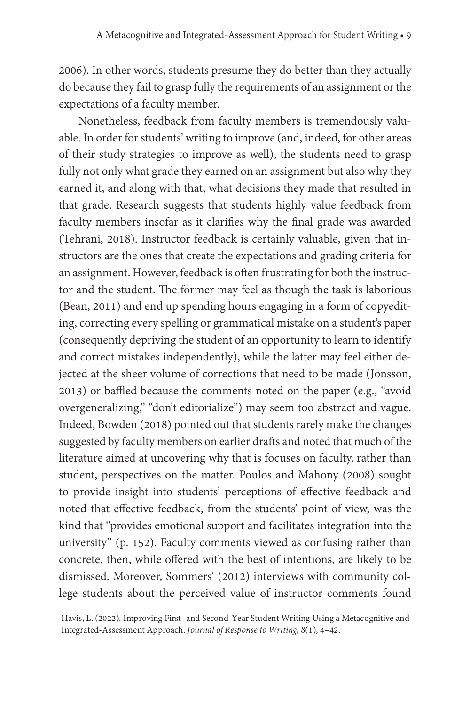2006). In other words, students presume they do better than they actually do because they fail to grasp fully the requirements of an assignment or the expectations of a faculty member.

Nonetheless, feedback from faculty members is tremendously valuable. In order for students' writing to improve (and, indeed, for other areas of their study strategies to improve as well), the students need to grasp fully not only what grade they earned on an assignment but also why they earned it, and along with that, what decisions they made that resulted in that grade. Research suggests that students highly value feedback from faculty members insofar as it clarifies why the final grade was awarded (Tehrani, 2018). Instructor feedback is certainly valuable, given that instructors are the ones that create the expectations and grading criteria for an assignment. However, feedback is often frustrating for both the instructor and the student. The former may feel as though the task is laborious (Bean, 2011) and end up spending hours engaging in a form of copyediting, correcting every spelling or grammatical mistake on a student's paper (consequently depriving the student of an opportunity to learn to identify and correct mistakes independently), while the latter may feel either dejected at the sheer volume of corrections that need to be made (Jonsson, 2013) or baffled because the comments noted on the paper (e.g., "avoid overgeneralizing," "don't editorialize") may seem too abstract and vague. Indeed, Bowden (2018) pointed out that students rarely make the changes suggested by faculty members on earlier drafts and noted that much of the literature aimed at uncovering why that is focuses on faculty, rather than student, perspectives on the matter. Poulos and Mahony (2008) sought to provide insight into students' perceptions of effective feedback and noted that effective feedback, from the students' point of view, was the kind that "provides emotional support and facilitates integration into the university" (p. 152). Faculty comments viewed as confusing rather than concrete, then, while offered with the best of intentions, are likely to be dismissed. Moreover, Sommers' (2012) interviews with community college students about the perceived value of instructor comments found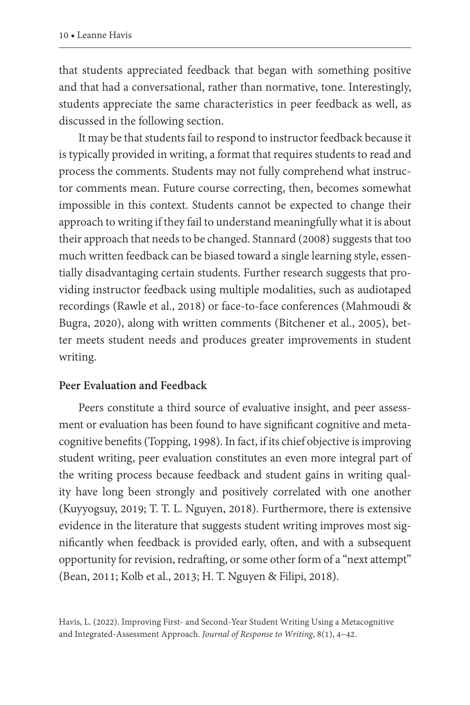that students appreciated feedback that began with something positive and that had a conversational, rather than normative, tone. Interestingly, students appreciate the same characteristics in peer feedback as well, as discussed in the following section.

It may be that students fail to respond to instructor feedback because it is typically provided in writing, a format that requires students to read and process the comments. Students may not fully comprehend what instructor comments mean. Future course correcting, then, becomes somewhat impossible in this context. Students cannot be expected to change their approach to writing if they fail to understand meaningfully what it is about their approach that needs to be changed. Stannard (2008) suggests that too much written feedback can be biased toward a single learning style, essentially disadvantaging certain students. Further research suggests that providing instructor feedback using multiple modalities, such as audiotaped recordings (Rawle et al., 2018) or face-to-face conferences (Mahmoudi & Bugra, 2020), along with written comments (Bitchener et al., 2005), better meets student needs and produces greater improvements in student writing.

#### **Peer Evaluation and Feedback**

Peers constitute a third source of evaluative insight, and peer assessment or evaluation has been found to have significant cognitive and metacognitive benefits (Topping, 1998). In fact, if its chief objective is improving student writing, peer evaluation constitutes an even more integral part of the writing process because feedback and student gains in writing quality have long been strongly and positively correlated with one another (Kuyyogsuy, 2019; T. T. L. Nguyen, 2018). Furthermore, there is extensive evidence in the literature that suggests student writing improves most significantly when feedback is provided early, often, and with a subsequent opportunity for revision, redrafting, or some other form of a "next attempt" (Bean, 2011; Kolb et al., 2013; H. T. Nguyen & Filipi, 2018).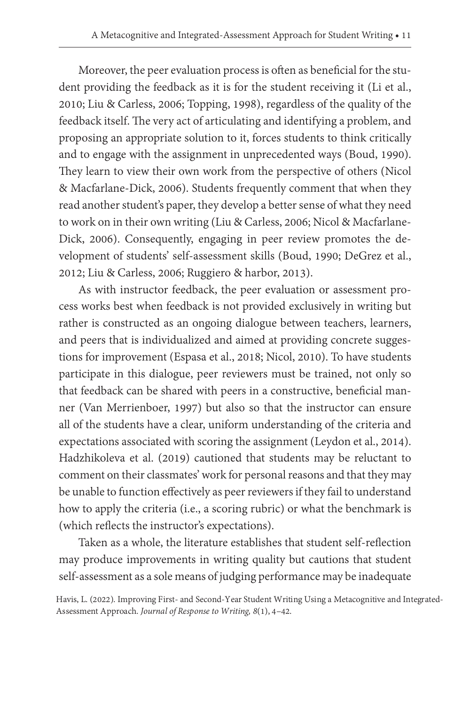Moreover, the peer evaluation process is often as beneficial for the student providing the feedback as it is for the student receiving it (Li et al., 2010; Liu & Carless, 2006; Topping, 1998), regardless of the quality of the feedback itself. The very act of articulating and identifying a problem, and proposing an appropriate solution to it, forces students to think critically and to engage with the assignment in unprecedented ways (Boud, 1990). They learn to view their own work from the perspective of others (Nicol & Macfarlane-Dick, 2006). Students frequently comment that when they read another student's paper, they develop a better sense of what they need to work on in their own writing (Liu & Carless, 2006; Nicol & Macfarlane-Dick, 2006). Consequently, engaging in peer review promotes the development of students' self-assessment skills (Boud, 1990; DeGrez et al., 2012; Liu & Carless, 2006; Ruggiero & harbor, 2013).

As with instructor feedback, the peer evaluation or assessment process works best when feedback is not provided exclusively in writing but rather is constructed as an ongoing dialogue between teachers, learners, and peers that is individualized and aimed at providing concrete suggestions for improvement (Espasa et al., 2018; Nicol, 2010). To have students participate in this dialogue, peer reviewers must be trained, not only so that feedback can be shared with peers in a constructive, beneficial manner (Van Merrienboer, 1997) but also so that the instructor can ensure all of the students have a clear, uniform understanding of the criteria and expectations associated with scoring the assignment (Leydon et al., 2014). Hadzhikoleva et al. (2019) cautioned that students may be reluctant to comment on their classmates' work for personal reasons and that they may be unable to function effectively as peer reviewers if they fail to understand how to apply the criteria (i.e., a scoring rubric) or what the benchmark is (which reflects the instructor's expectations).

Taken as a whole, the literature establishes that student self-reflection may produce improvements in writing quality but cautions that student self-assessment as a sole means of judging performance may be inadequate

Havis, L. (2022). Improving First- and Second-Year Student Writing Using a Metacognitive and Integrated- Assessment Approach. *Journal of Response to Writing, 8*(1), 4–42.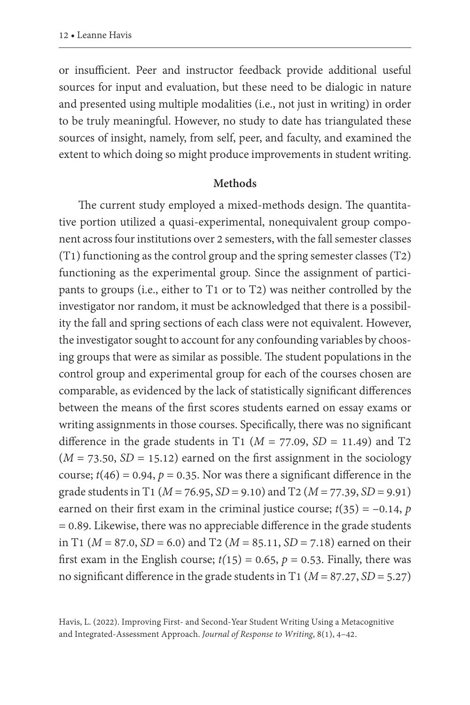or insufficient. Peer and instructor feedback provide additional useful sources for input and evaluation, but these need to be dialogic in nature and presented using multiple modalities (i.e., not just in writing) in order to be truly meaningful. However, no study to date has triangulated these sources of insight, namely, from self, peer, and faculty, and examined the extent to which doing so might produce improvements in student writing.

#### **Methods**

The current study employed a mixed-methods design. The quantitative portion utilized a quasi-experimental, nonequivalent group component across four institutions over 2 semesters, with the fall semester classes (T1) functioning as the control group and the spring semester classes (T2) functioning as the experimental group. Since the assignment of participants to groups (i.e., either to T1 or to T2) was neither controlled by the investigator nor random, it must be acknowledged that there is a possibility the fall and spring sections of each class were not equivalent. However, the investigator sought to account for any confounding variables by choosing groups that were as similar as possible. The student populations in the control group and experimental group for each of the courses chosen are comparable, as evidenced by the lack of statistically significant differences between the means of the first scores students earned on essay exams or writing assignments in those courses. Specifically, there was no significant difference in the grade students in T1 ( $M = 77.09$ ,  $SD = 11.49$ ) and T2  $(M = 73.50, SD = 15.12)$  earned on the first assignment in the sociology course;  $t(46) = 0.94$ ,  $p = 0.35$ . Nor was there a significant difference in the grade students in T1 (*M* = 76.95, *SD* = 9.10) and T2 (*M* = 77.39, *SD* = 9.91) earned on their first exam in the criminal justice course;  $t(35) = -0.14$ , *p* = 0.89. Likewise, there was no appreciable difference in the grade students in T1 (*M* = 87.0, *SD* = 6.0) and T2 (*M* = 85.11, *SD* = 7.18) earned on their first exam in the English course;  $t(15) = 0.65$ ,  $p = 0.53$ . Finally, there was no significant difference in the grade students in T1 (*M* = 87.27, *SD* = 5.27)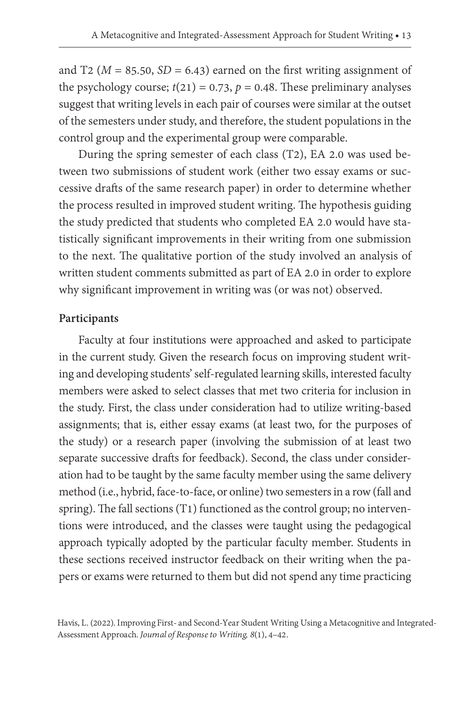and T2 ( $M = 85.50$ ,  $SD = 6.43$ ) earned on the first writing assignment of the psychology course;  $t(21) = 0.73$ ,  $p = 0.48$ . These preliminary analyses suggest that writing levels in each pair of courses were similar at the outset of the semesters under study, and therefore, the student populations in the control group and the experimental group were comparable.

During the spring semester of each class (T2), EA 2.0 was used between two submissions of student work (either two essay exams or successive drafts of the same research paper) in order to determine whether the process resulted in improved student writing. The hypothesis guiding the study predicted that students who completed EA 2.0 would have statistically significant improvements in their writing from one submission to the next. The qualitative portion of the study involved an analysis of written student comments submitted as part of EA 2.0 in order to explore why significant improvement in writing was (or was not) observed.

#### **Participants**

Faculty at four institutions were approached and asked to participate in the current study. Given the research focus on improving student writing and developing students' self-regulated learning skills, interested faculty members were asked to select classes that met two criteria for inclusion in the study. First, the class under consideration had to utilize writing-based assignments; that is, either essay exams (at least two, for the purposes of the study) or a research paper (involving the submission of at least two separate successive drafts for feedback). Second, the class under consideration had to be taught by the same faculty member using the same delivery method (i.e., hybrid, face-to-face, or online) two semesters in a row (fall and spring). The fall sections (T1) functioned as the control group; no interventions were introduced, and the classes were taught using the pedagogical approach typically adopted by the particular faculty member. Students in these sections received instructor feedback on their writing when the papers or exams were returned to them but did not spend any time practicing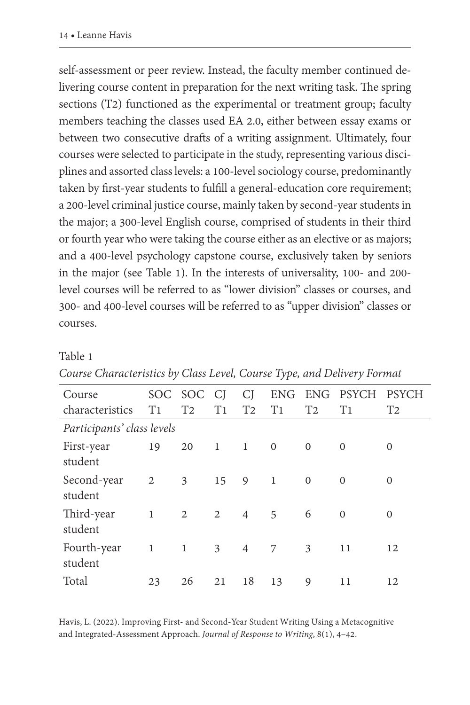self-assessment or peer review. Instead, the faculty member continued delivering course content in preparation for the next writing task. The spring sections (T2) functioned as the experimental or treatment group; faculty members teaching the classes used EA 2.0, either between essay exams or between two consecutive drafts of a writing assignment. Ultimately, four courses were selected to participate in the study, representing various disciplines and assorted class levels: a 100-level sociology course, predominantly taken by first-year students to fulfill a general-education core requirement; a 200-level criminal justice course, mainly taken by second-year students in the major; a 300-level English course, comprised of students in their third or fourth year who were taking the course either as an elective or as majors; and a 400-level psychology capstone course, exclusively taken by seniors in the major (see Table 1). In the interests of universality, 100- and 200 level courses will be referred to as "lower division" classes or courses, and 300- and 400-level courses will be referred to as "upper division" classes or courses.

#### Table 1

| Course                     |                | SOC SOC                 | <sup>C</sup>   | CI             |                |                | ENG ENG PSYCH  | <b>PSYCH</b>   |
|----------------------------|----------------|-------------------------|----------------|----------------|----------------|----------------|----------------|----------------|
| characteristics            | T <sub>1</sub> | T <sub>2</sub>          | T <sub>1</sub> | T <sub>2</sub> | T <sub>1</sub> | T <sub>2</sub> | T <sub>1</sub> | T <sub>2</sub> |
| Participants' class levels |                |                         |                |                |                |                |                |                |
| First-year                 | 19             | 20                      | $\overline{1}$ | $\mathbf{1}$   | $\overline{0}$ | $\mathbf{0}$   | $\Omega$       | $\Omega$       |
| student                    |                |                         |                |                |                |                |                |                |
| Second-year                | 2              | $\overline{\mathbf{3}}$ | 15             | $9 \t1$        |                | $\Omega$       | $\Omega$       | $\Omega$       |
| student                    |                |                         |                |                |                |                |                |                |
| Third-year                 | 1              | 2                       | 2              | $\overline{4}$ | 5              | 6              | $\Omega$       | $\Omega$       |
| student                    |                |                         |                |                |                |                |                |                |
| Fourth-year                | $\mathbf{1}$   | 1                       | 3              | $\overline{4}$ | 7              | 3              | 11             | 12             |
| student                    |                |                         |                |                |                |                |                |                |
| Total                      | 23             | 26                      | 21             | 18             | 13             | 9              | 11             | 12             |

#### *Course Characteristics by Class Level, Course Type, and Delivery Format*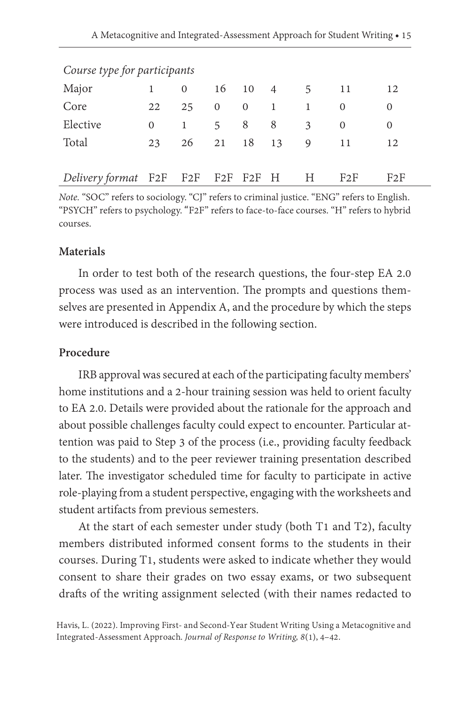| Course type for participants |                |                |                      |   |                                                        |                                       |              |
|------------------------------|----------------|----------------|----------------------|---|--------------------------------------------------------|---------------------------------------|--------------|
| 1                            | $\overline{0}$ | 16             |                      |   |                                                        |                                       | 12           |
| 22                           | 25             |                | $\overline{0}$       | 1 | -1                                                     | $\Omega$                              | 0            |
| $\Omega$                     | <sup>1</sup>   | 5 <sup>7</sup> |                      |   | 3                                                      | $\Omega$                              | 0            |
| 23                           |                |                |                      |   |                                                        |                                       | 12           |
|                              |                |                |                      |   |                                                        |                                       |              |
|                              |                |                |                      |   |                                                        | F2F                                   | F2F          |
|                              |                |                | $\overline{0}$<br>26 | 8 | - 8<br>21  18  13<br>Delivery format F2F F2F F2F F2F H | $10 \t 4 \t 5$<br>$\overline{9}$<br>H | - 11<br>- 11 |

*Note.* "SOC" refers to sociology. "CJ" refers to criminal justice. "ENG" refers to English. "PSYCH" refers to psychology. "F2F" refers to face-to-face courses. "H" refers to hybrid courses.

#### **Materials**

In order to test both of the research questions, the four-step EA 2.0 process was used as an intervention. The prompts and questions themselves are presented in Appendix A, and the procedure by which the steps were introduced is described in the following section.

#### **Procedure**

IRB approval was secured at each of the participating faculty members' home institutions and a 2-hour training session was held to orient faculty to EA 2.0. Details were provided about the rationale for the approach and about possible challenges faculty could expect to encounter. Particular attention was paid to Step 3 of the process (i.e., providing faculty feedback to the students) and to the peer reviewer training presentation described later. The investigator scheduled time for faculty to participate in active role-playing from a student perspective, engaging with the worksheets and student artifacts from previous semesters.

At the start of each semester under study (both T1 and T2), faculty members distributed informed consent forms to the students in their courses. During T1, students were asked to indicate whether they would consent to share their grades on two essay exams, or two subsequent drafts of the writing assignment selected (with their names redacted to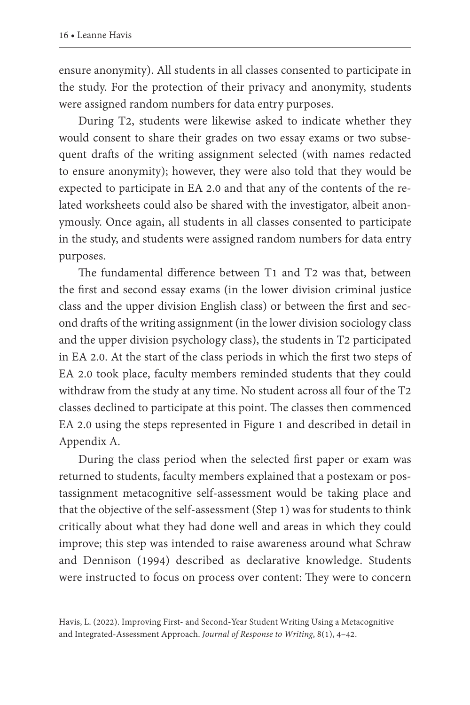ensure anonymity). All students in all classes consented to participate in the study. For the protection of their privacy and anonymity, students were assigned random numbers for data entry purposes.

During T2, students were likewise asked to indicate whether they would consent to share their grades on two essay exams or two subsequent drafts of the writing assignment selected (with names redacted to ensure anonymity); however, they were also told that they would be expected to participate in EA 2.0 and that any of the contents of the related worksheets could also be shared with the investigator, albeit anonymously. Once again, all students in all classes consented to participate in the study, and students were assigned random numbers for data entry purposes.

The fundamental difference between T1 and T2 was that, between the first and second essay exams (in the lower division criminal justice class and the upper division English class) or between the first and second drafts of the writing assignment (in the lower division sociology class and the upper division psychology class), the students in T2 participated in EA 2.0. At the start of the class periods in which the first two steps of EA 2.0 took place, faculty members reminded students that they could withdraw from the study at any time. No student across all four of the T2 classes declined to participate at this point. The classes then commenced EA 2.0 using the steps represented in Figure 1 and described in detail in Appendix A.

During the class period when the selected first paper or exam was returned to students, faculty members explained that a postexam or postassignment metacognitive self-assessment would be taking place and that the objective of the self-assessment (Step 1) was for students to think critically about what they had done well and areas in which they could improve; this step was intended to raise awareness around what Schraw and Dennison (1994) described as declarative knowledge. Students were instructed to focus on process over content: They were to concern

Havis, L. (2022). Improving First- and Second-Year Student Writing Using a Metacognitive and Integrated-Assessment Approach. *Journal of Response to Writing*, 8(1), 4–42.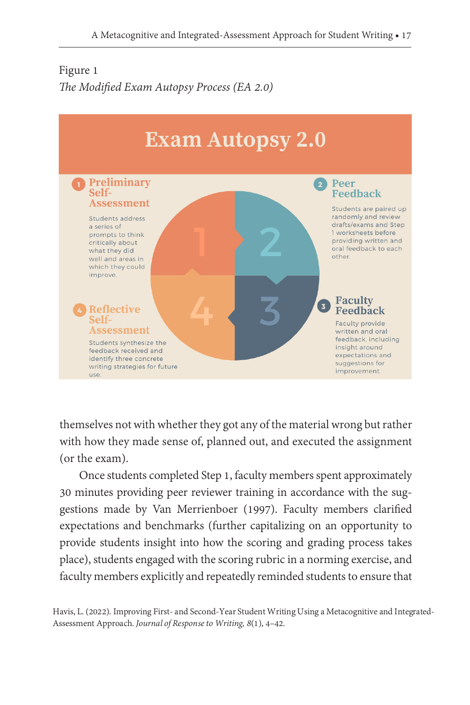## Figure 1 *The Modified Exam Autopsy Process (EA 2.0)*



themselves not with whether they got any of the material wrong but rather with how they made sense of, planned out, and executed the assignment (or the exam).

Once students completed Step 1, faculty members spent approximately 30 minutes providing peer reviewer training in accordance with the suggestions made by Van Merrienboer (1997). Faculty members clarified expectations and benchmarks (further capitalizing on an opportunity to provide students insight into how the scoring and grading process takes place), students engaged with the scoring rubric in a norming exercise, and faculty members explicitly and repeatedly reminded students to ensure that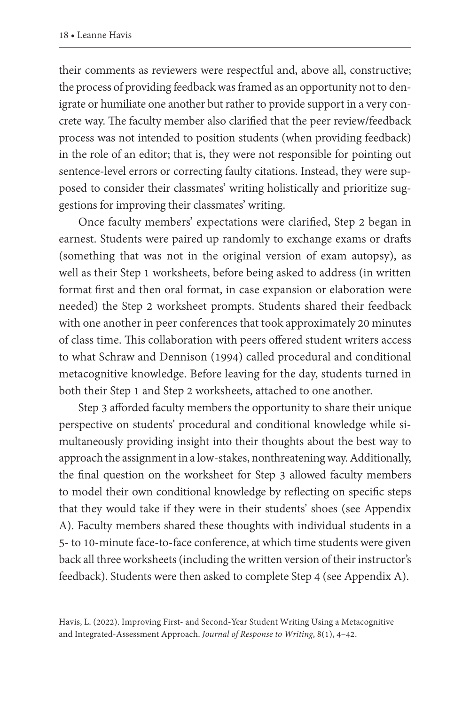their comments as reviewers were respectful and, above all, constructive; the process of providing feedback was framed as an opportunity not to denigrate or humiliate one another but rather to provide support in a very concrete way. The faculty member also clarified that the peer review/feedback process was not intended to position students (when providing feedback) in the role of an editor; that is, they were not responsible for pointing out sentence-level errors or correcting faulty citations. Instead, they were supposed to consider their classmates' writing holistically and prioritize suggestions for improving their classmates' writing.

Once faculty members' expectations were clarified, Step 2 began in earnest. Students were paired up randomly to exchange exams or drafts (something that was not in the original version of exam autopsy), as well as their Step 1 worksheets, before being asked to address (in written format first and then oral format, in case expansion or elaboration were needed) the Step 2 worksheet prompts. Students shared their feedback with one another in peer conferences that took approximately 20 minutes of class time. This collaboration with peers offered student writers access to what Schraw and Dennison (1994) called procedural and conditional metacognitive knowledge. Before leaving for the day, students turned in both their Step 1 and Step 2 worksheets, attached to one another.

Step 3 afforded faculty members the opportunity to share their unique perspective on students' procedural and conditional knowledge while simultaneously providing insight into their thoughts about the best way to approach the assignment in a low-stakes, nonthreatening way. Additionally, the final question on the worksheet for Step 3 allowed faculty members to model their own conditional knowledge by reflecting on specific steps that they would take if they were in their students' shoes (see Appendix A). Faculty members shared these thoughts with individual students in a 5- to 10-minute face-to-face conference, at which time students were given back all three worksheets (including the written version of their instructor's feedback). Students were then asked to complete Step 4 (see Appendix A).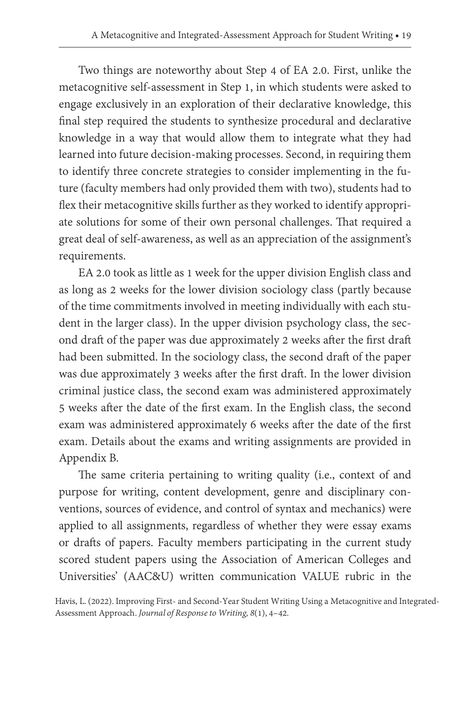Two things are noteworthy about Step 4 of EA 2.0. First, unlike the metacognitive self-assessment in Step 1, in which students were asked to engage exclusively in an exploration of their declarative knowledge, this final step required the students to synthesize procedural and declarative knowledge in a way that would allow them to integrate what they had learned into future decision-making processes. Second, in requiring them to identify three concrete strategies to consider implementing in the future (faculty members had only provided them with two), students had to flex their metacognitive skills further as they worked to identify appropriate solutions for some of their own personal challenges. That required a great deal of self-awareness, as well as an appreciation of the assignment's requirements.

EA 2.0 took as little as 1 week for the upper division English class and as long as 2 weeks for the lower division sociology class (partly because of the time commitments involved in meeting individually with each student in the larger class). In the upper division psychology class, the second draft of the paper was due approximately 2 weeks after the first draft had been submitted. In the sociology class, the second draft of the paper was due approximately 3 weeks after the first draft. In the lower division criminal justice class, the second exam was administered approximately 5 weeks after the date of the first exam. In the English class, the second exam was administered approximately 6 weeks after the date of the first exam. Details about the exams and writing assignments are provided in Appendix B.

The same criteria pertaining to writing quality (i.e., context of and purpose for writing, content development, genre and disciplinary conventions, sources of evidence, and control of syntax and mechanics) were applied to all assignments, regardless of whether they were essay exams or drafts of papers. Faculty members participating in the current study scored student papers using the Association of American Colleges and Universities' (AAC&U) written communication VALUE rubric in the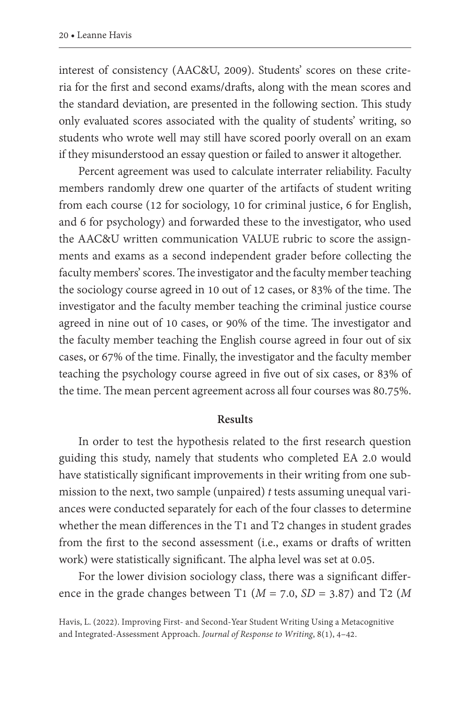interest of consistency (AAC&U, 2009). Students' scores on these criteria for the first and second exams/drafts, along with the mean scores and the standard deviation, are presented in the following section. This study only evaluated scores associated with the quality of students' writing, so students who wrote well may still have scored poorly overall on an exam if they misunderstood an essay question or failed to answer it altogether.

Percent agreement was used to calculate interrater reliability. Faculty members randomly drew one quarter of the artifacts of student writing from each course (12 for sociology, 10 for criminal justice, 6 for English, and 6 for psychology) and forwarded these to the investigator, who used the AAC&U written communication VALUE rubric to score the assignments and exams as a second independent grader before collecting the faculty members' scores. The investigator and the faculty member teaching the sociology course agreed in 10 out of 12 cases, or 83% of the time. The investigator and the faculty member teaching the criminal justice course agreed in nine out of 10 cases, or 90% of the time. The investigator and the faculty member teaching the English course agreed in four out of six cases, or 67% of the time. Finally, the investigator and the faculty member teaching the psychology course agreed in five out of six cases, or 83% of the time. The mean percent agreement across all four courses was 80.75%.

#### **Results**

In order to test the hypothesis related to the first research question guiding this study, namely that students who completed EA 2.0 would have statistically significant improvements in their writing from one submission to the next, two sample (unpaired) *t* tests assuming unequal variances were conducted separately for each of the four classes to determine whether the mean differences in the T1 and T2 changes in student grades from the first to the second assessment (i.e., exams or drafts of written work) were statistically significant. The alpha level was set at 0.05.

For the lower division sociology class, there was a significant difference in the grade changes between T1 (*M* = 7.0, *SD* = 3.87) and T2 (*M*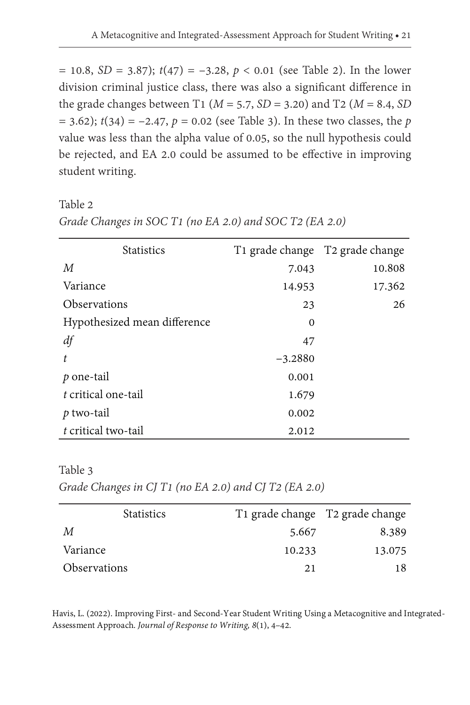$= 10.8$ , *SD* = 3.87);  $t(47) = -3.28$ ,  $p < 0.01$  (see Table 2). In the lower division criminal justice class, there was also a significant difference in the grade changes between T1 (*M* = 5.7, *SD* = 3.20) and T2 (*M* = 8.4, *SD*  $(1, 3, 62)$ ;  $t(34) = -2.47$ ,  $p = 0.02$  (see Table 3). In these two classes, the *p* value was less than the alpha value of 0.05, so the null hypothesis could be rejected, and EA 2.0 could be assumed to be effective in improving student writing.

Table 2 *Grade Changes in SOC T1 (no EA 2.0) and SOC T2 (EA 2.0)*

| <b>Statistics</b>            |           | T1 grade change T2 grade change |
|------------------------------|-----------|---------------------------------|
| M                            | 7.043     | 10.808                          |
| Variance                     | 14.953    | 17.362                          |
| Observations                 | 23        | 26                              |
| Hypothesized mean difference | 0         |                                 |
| df                           | 47        |                                 |
| t.                           | $-3.2880$ |                                 |
| $p$ one-tail                 | 0.001     |                                 |
| t critical one-tail          | 1.679     |                                 |
| $p$ two-tail                 | 0.002     |                                 |
| t critical two-tail          | 2.012     |                                 |

Table 3

*Grade Changes in CJ T1 (no EA 2.0) and CJ T2 (EA 2.0)*

| <b>Statistics</b>          |        | T <sub>1</sub> grade change T <sub>2</sub> grade change |
|----------------------------|--------|---------------------------------------------------------|
| М                          | 5.667  | 8.389                                                   |
| Variance                   | 10.233 | 13.075                                                  |
| <i><b>Observations</b></i> | 21     | 18                                                      |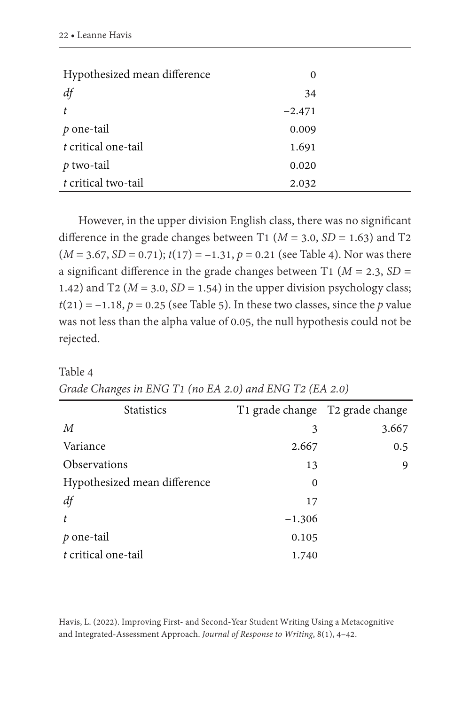| Hypothesized mean difference | 0        |  |
|------------------------------|----------|--|
| df                           | 34       |  |
| $\mathbf{t}$                 | $-2.471$ |  |
| $p$ one-tail                 | 0.009    |  |
| t critical one-tail          | 1.691    |  |
| $p$ two-tail                 | 0.020    |  |
| t critical two-tail          | 2.032    |  |

However, in the upper division English class, there was no significant difference in the grade changes between T1 ( $M = 3.0$ ,  $SD = 1.63$ ) and T2  $(M = 3.67, SD = 0.71); t(17) = -1.31, p = 0.21$  (see Table 4). Nor was there a significant difference in the grade changes between T1 ( $M = 2.3$ ,  $SD =$ 1.42) and T2 ( $M = 3.0$ ,  $SD = 1.54$ ) in the upper division psychology class;  $t(21) = -1.18$ ,  $p = 0.25$  (see Table 5). In these two classes, since the *p* value was not less than the alpha value of 0.05, the null hypothesis could not be rejected.

#### Table 4

| Grade Changes in ENG T1 (no EA 2.0) and ENG T2 (EA 2.0) |  |  |  |  |
|---------------------------------------------------------|--|--|--|--|
|---------------------------------------------------------|--|--|--|--|

| <b>Statistics</b>            | T1 grade change T2 grade change |       |
|------------------------------|---------------------------------|-------|
| $\boldsymbol{M}$             | 3                               | 3.667 |
| Variance                     | 2.667                           | 0.5   |
| Observations                 | 13                              | 9     |
| Hypothesized mean difference | $\Omega$                        |       |
| df                           | 17                              |       |
| t.                           | $-1.306$                        |       |
| $p$ one-tail                 | 0.105                           |       |
| t critical one-tail          | 1.740                           |       |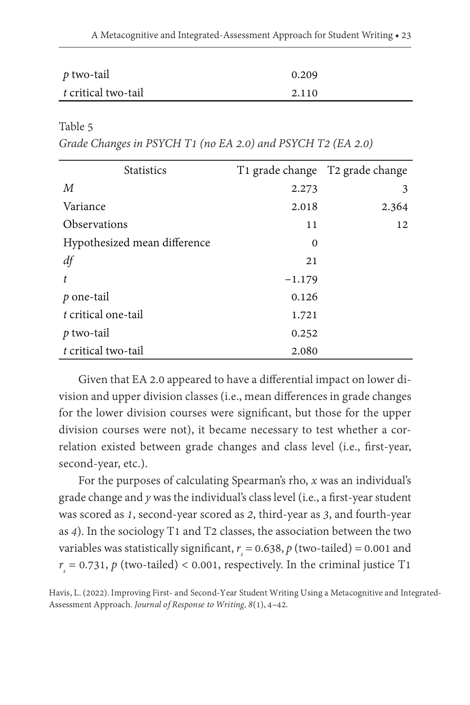| $p$ two-tail        | 0.209 |  |
|---------------------|-------|--|
| t critical two-tail | 2.110 |  |

Table 5

*Grade Changes in PSYCH T1 (no EA 2.0) and PSYCH T2 (EA 2.0)*

| <b>Statistics</b>            |          | T1 grade change T2 grade change |
|------------------------------|----------|---------------------------------|
| M                            | 2.273    | 3                               |
| Variance                     | 2.018    | 2.364                           |
| <b>Observations</b>          | 11       | 12                              |
| Hypothesized mean difference | 0        |                                 |
| df                           | 21       |                                 |
| t.                           | $-1.179$ |                                 |
| $p$ one-tail                 | 0.126    |                                 |
| t critical one-tail          | 1.721    |                                 |
| $p$ two-tail                 | 0.252    |                                 |
| t critical two-tail          | 2.080    |                                 |

Given that EA 2.0 appeared to have a differential impact on lower division and upper division classes (i.e., mean differences in grade changes for the lower division courses were significant, but those for the upper division courses were not), it became necessary to test whether a correlation existed between grade changes and class level (i.e., first-year, second-year, etc.).

For the purposes of calculating Spearman's rho, *x* was an individual's grade change and *y* was the individual's class level (i.e., a first-year student was scored as *1*, second-year scored as *2*, third-year as *3*, and fourth-year as *4*). In the sociology T1 and T2 classes, the association between the two variables was statistically significant,  $r<sub>s</sub> = 0.638$ ,  $p$  (two-tailed) = 0.001 and  $r<sub>s</sub> = 0.731, p$  (two-tailed) < 0.001, respectively. In the criminal justice T1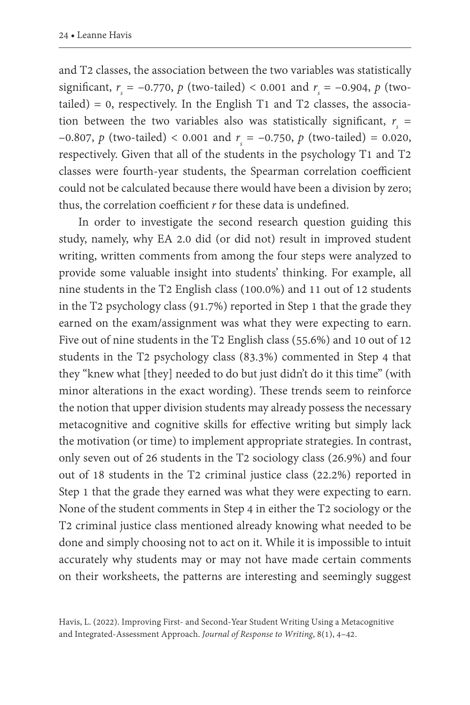and T2 classes, the association between the two variables was statistically significant,  $r_s = -0.770$ ,  $p$  (two-tailed) < 0.001 and  $r_s = -0.904$ ,  $p$  (twotailed) =  $0$ , respectively. In the English T1 and T2 classes, the association between the two variables also was statistically significant,  $r<sub>s</sub>$  =  $-0.807$ ,  $p$  (two-tailed) < 0.001 and  $r_s = -0.750$ ,  $p$  (two-tailed) = 0.020, respectively. Given that all of the students in the psychology T1 and T2 classes were fourth-year students, the Spearman correlation coefficient could not be calculated because there would have been a division by zero; thus, the correlation coefficient *r* for these data is undefined.

In order to investigate the second research question guiding this study, namely, why EA 2.0 did (or did not) result in improved student writing, written comments from among the four steps were analyzed to provide some valuable insight into students' thinking. For example, all nine students in the T2 English class (100.0%) and 11 out of 12 students in the T2 psychology class (91.7%) reported in Step 1 that the grade they earned on the exam/assignment was what they were expecting to earn. Five out of nine students in the T2 English class (55.6%) and 10 out of 12 students in the T2 psychology class (83.3%) commented in Step 4 that they "knew what [they] needed to do but just didn't do it this time" (with minor alterations in the exact wording). These trends seem to reinforce the notion that upper division students may already possess the necessary metacognitive and cognitive skills for effective writing but simply lack the motivation (or time) to implement appropriate strategies. In contrast, only seven out of 26 students in the T2 sociology class (26.9%) and four out of 18 students in the T2 criminal justice class (22.2%) reported in Step 1 that the grade they earned was what they were expecting to earn. None of the student comments in Step 4 in either the T2 sociology or the T2 criminal justice class mentioned already knowing what needed to be done and simply choosing not to act on it. While it is impossible to intuit accurately why students may or may not have made certain comments on their worksheets, the patterns are interesting and seemingly suggest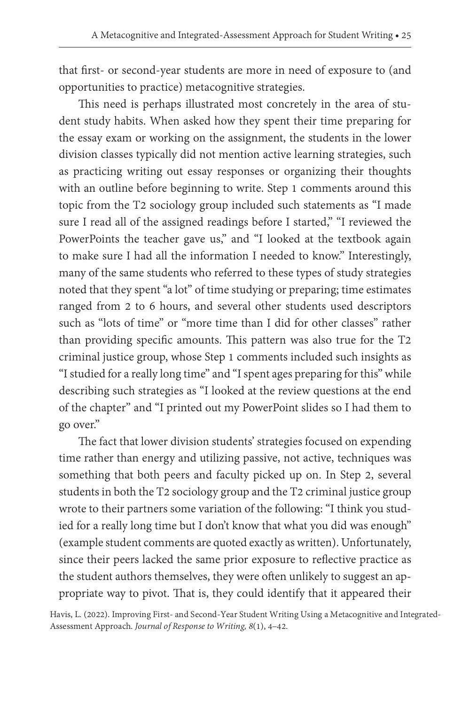that first- or second-year students are more in need of exposure to (and opportunities to practice) metacognitive strategies.

This need is perhaps illustrated most concretely in the area of student study habits. When asked how they spent their time preparing for the essay exam or working on the assignment, the students in the lower division classes typically did not mention active learning strategies, such as practicing writing out essay responses or organizing their thoughts with an outline before beginning to write. Step 1 comments around this topic from the T2 sociology group included such statements as "I made sure I read all of the assigned readings before I started," "I reviewed the PowerPoints the teacher gave us," and "I looked at the textbook again to make sure I had all the information I needed to know." Interestingly, many of the same students who referred to these types of study strategies noted that they spent "a lot" of time studying or preparing; time estimates ranged from 2 to 6 hours, and several other students used descriptors such as "lots of time" or "more time than I did for other classes" rather than providing specific amounts. This pattern was also true for the T2 criminal justice group, whose Step 1 comments included such insights as "I studied for a really long time" and "I spent ages preparing for this" while describing such strategies as "I looked at the review questions at the end of the chapter" and "I printed out my PowerPoint slides so I had them to go over."

The fact that lower division students' strategies focused on expending time rather than energy and utilizing passive, not active, techniques was something that both peers and faculty picked up on. In Step 2, several students in both the T2 sociology group and the T2 criminal justice group wrote to their partners some variation of the following: "I think you studied for a really long time but I don't know that what you did was enough" (example student comments are quoted exactly as written). Unfortunately, since their peers lacked the same prior exposure to reflective practice as the student authors themselves, they were often unlikely to suggest an appropriate way to pivot. That is, they could identify that it appeared their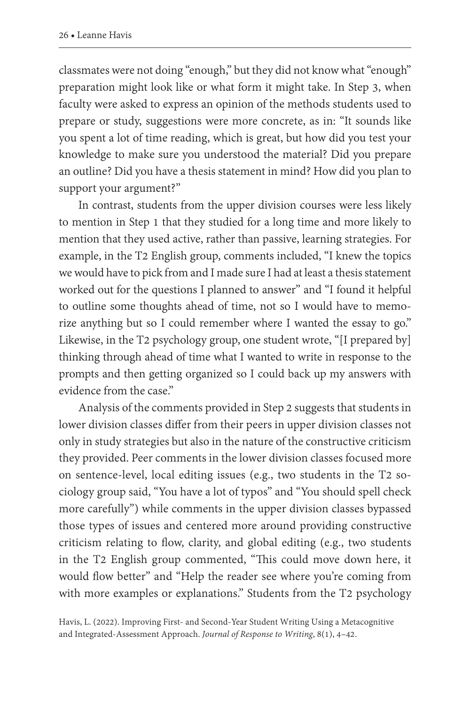classmates were not doing "enough," but they did not know what "enough" preparation might look like or what form it might take. In Step 3, when faculty were asked to express an opinion of the methods students used to prepare or study, suggestions were more concrete, as in: "It sounds like you spent a lot of time reading, which is great, but how did you test your knowledge to make sure you understood the material? Did you prepare an outline? Did you have a thesis statement in mind? How did you plan to support your argument?"

In contrast, students from the upper division courses were less likely to mention in Step 1 that they studied for a long time and more likely to mention that they used active, rather than passive, learning strategies. For example, in the T2 English group, comments included, "I knew the topics we would have to pick from and I made sure I had at least a thesis statement worked out for the questions I planned to answer" and "I found it helpful to outline some thoughts ahead of time, not so I would have to memorize anything but so I could remember where I wanted the essay to go." Likewise, in the T2 psychology group, one student wrote, "[I prepared by] thinking through ahead of time what I wanted to write in response to the prompts and then getting organized so I could back up my answers with evidence from the case"

Analysis of the comments provided in Step 2 suggests that students in lower division classes differ from their peers in upper division classes not only in study strategies but also in the nature of the constructive criticism they provided. Peer comments in the lower division classes focused more on sentence-level, local editing issues (e.g., two students in the T2 sociology group said, "You have a lot of typos" and "You should spell check more carefully") while comments in the upper division classes bypassed those types of issues and centered more around providing constructive criticism relating to flow, clarity, and global editing (e.g., two students in the T2 English group commented, "This could move down here, it would flow better" and "Help the reader see where you're coming from with more examples or explanations." Students from the T2 psychology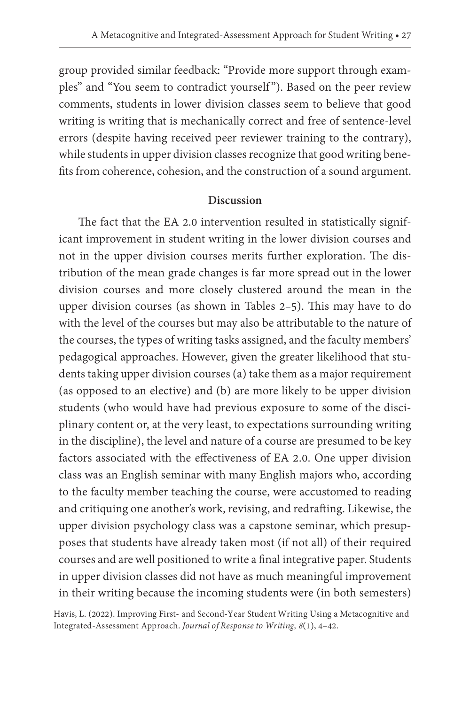group provided similar feedback: "Provide more support through examples" and "You seem to contradict yourself"). Based on the peer review comments, students in lower division classes seem to believe that good writing is writing that is mechanically correct and free of sentence-level errors (despite having received peer reviewer training to the contrary), while students in upper division classes recognize that good writing benefits from coherence, cohesion, and the construction of a sound argument.

#### **Discussion**

The fact that the EA 2.0 intervention resulted in statistically significant improvement in student writing in the lower division courses and not in the upper division courses merits further exploration. The distribution of the mean grade changes is far more spread out in the lower division courses and more closely clustered around the mean in the upper division courses (as shown in Tables 2–5). This may have to do with the level of the courses but may also be attributable to the nature of the courses, the types of writing tasks assigned, and the faculty members' pedagogical approaches. However, given the greater likelihood that students taking upper division courses (a) take them as a major requirement (as opposed to an elective) and (b) are more likely to be upper division students (who would have had previous exposure to some of the disciplinary content or, at the very least, to expectations surrounding writing in the discipline), the level and nature of a course are presumed to be key factors associated with the effectiveness of EA 2.0. One upper division class was an English seminar with many English majors who, according to the faculty member teaching the course, were accustomed to reading and critiquing one another's work, revising, and redrafting. Likewise, the upper division psychology class was a capstone seminar, which presupposes that students have already taken most (if not all) of their required courses and are well positioned to write a final integrative paper. Students in upper division classes did not have as much meaningful improvement in their writing because the incoming students were (in both semesters)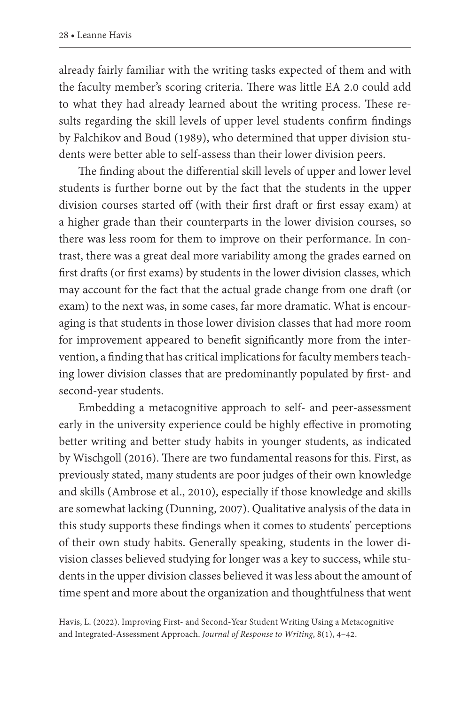already fairly familiar with the writing tasks expected of them and with the faculty member's scoring criteria. There was little EA 2.0 could add to what they had already learned about the writing process. These results regarding the skill levels of upper level students confirm findings by Falchikov and Boud (1989), who determined that upper division students were better able to self-assess than their lower division peers.

The finding about the differential skill levels of upper and lower level students is further borne out by the fact that the students in the upper division courses started off (with their first draft or first essay exam) at a higher grade than their counterparts in the lower division courses, so there was less room for them to improve on their performance. In contrast, there was a great deal more variability among the grades earned on first drafts (or first exams) by students in the lower division classes, which may account for the fact that the actual grade change from one draft (or exam) to the next was, in some cases, far more dramatic. What is encouraging is that students in those lower division classes that had more room for improvement appeared to benefit significantly more from the intervention, a finding that has critical implications for faculty members teaching lower division classes that are predominantly populated by first- and second-year students.

Embedding a metacognitive approach to self- and peer-assessment early in the university experience could be highly effective in promoting better writing and better study habits in younger students, as indicated by Wischgoll (2016). There are two fundamental reasons for this. First, as previously stated, many students are poor judges of their own knowledge and skills (Ambrose et al., 2010), especially if those knowledge and skills are somewhat lacking (Dunning, 2007). Qualitative analysis of the data in this study supports these findings when it comes to students' perceptions of their own study habits. Generally speaking, students in the lower division classes believed studying for longer was a key to success, while students in the upper division classes believed it was less about the amount of time spent and more about the organization and thoughtfulness that went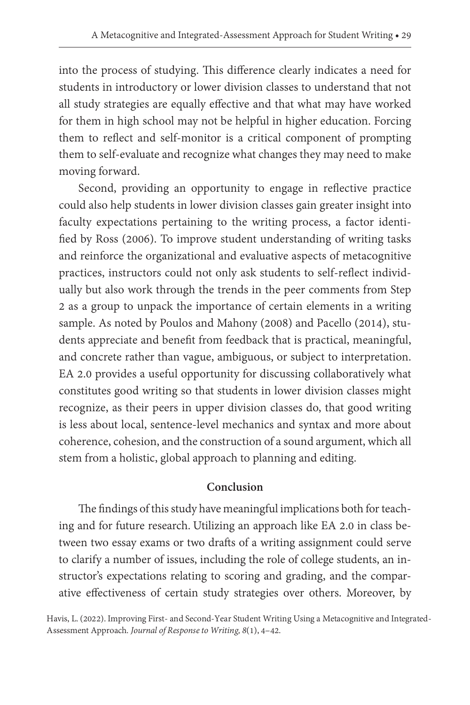into the process of studying. This difference clearly indicates a need for students in introductory or lower division classes to understand that not all study strategies are equally effective and that what may have worked for them in high school may not be helpful in higher education. Forcing them to reflect and self-monitor is a critical component of prompting them to self-evaluate and recognize what changes they may need to make moving forward.

Second, providing an opportunity to engage in reflective practice could also help students in lower division classes gain greater insight into faculty expectations pertaining to the writing process, a factor identified by Ross (2006). To improve student understanding of writing tasks and reinforce the organizational and evaluative aspects of metacognitive practices, instructors could not only ask students to self-reflect individually but also work through the trends in the peer comments from Step 2 as a group to unpack the importance of certain elements in a writing sample. As noted by Poulos and Mahony (2008) and Pacello (2014), students appreciate and benefit from feedback that is practical, meaningful, and concrete rather than vague, ambiguous, or subject to interpretation. EA 2.0 provides a useful opportunity for discussing collaboratively what constitutes good writing so that students in lower division classes might recognize, as their peers in upper division classes do, that good writing is less about local, sentence-level mechanics and syntax and more about coherence, cohesion, and the construction of a sound argument, which all stem from a holistic, global approach to planning and editing.

#### **Conclusion**

The findings of this study have meaningful implications both for teaching and for future research. Utilizing an approach like EA 2.0 in class between two essay exams or two drafts of a writing assignment could serve to clarify a number of issues, including the role of college students, an instructor's expectations relating to scoring and grading, and the comparative effectiveness of certain study strategies over others. Moreover, by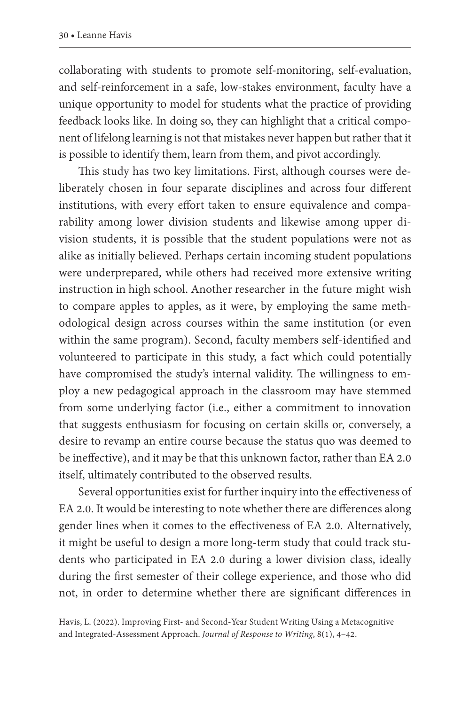collaborating with students to promote self-monitoring, self-evaluation, and self-reinforcement in a safe, low-stakes environment, faculty have a unique opportunity to model for students what the practice of providing feedback looks like. In doing so, they can highlight that a critical component of lifelong learning is not that mistakes never happen but rather that it is possible to identify them, learn from them, and pivot accordingly.

This study has two key limitations. First, although courses were deliberately chosen in four separate disciplines and across four different institutions, with every effort taken to ensure equivalence and comparability among lower division students and likewise among upper division students, it is possible that the student populations were not as alike as initially believed. Perhaps certain incoming student populations were underprepared, while others had received more extensive writing instruction in high school. Another researcher in the future might wish to compare apples to apples, as it were, by employing the same methodological design across courses within the same institution (or even within the same program). Second, faculty members self-identified and volunteered to participate in this study, a fact which could potentially have compromised the study's internal validity. The willingness to employ a new pedagogical approach in the classroom may have stemmed from some underlying factor (i.e., either a commitment to innovation that suggests enthusiasm for focusing on certain skills or, conversely, a desire to revamp an entire course because the status quo was deemed to be ineffective), and it may be that this unknown factor, rather than EA 2.0 itself, ultimately contributed to the observed results.

Several opportunities exist for further inquiry into the effectiveness of EA 2.0. It would be interesting to note whether there are differences along gender lines when it comes to the effectiveness of EA 2.0. Alternatively, it might be useful to design a more long-term study that could track students who participated in EA 2.0 during a lower division class, ideally during the first semester of their college experience, and those who did not, in order to determine whether there are significant differences in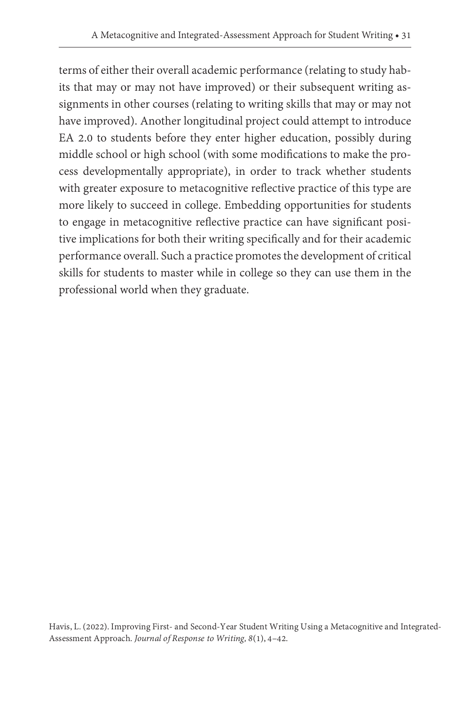terms of either their overall academic performance (relating to study habits that may or may not have improved) or their subsequent writing assignments in other courses (relating to writing skills that may or may not have improved). Another longitudinal project could attempt to introduce EA 2.0 to students before they enter higher education, possibly during middle school or high school (with some modifications to make the process developmentally appropriate), in order to track whether students with greater exposure to metacognitive reflective practice of this type are more likely to succeed in college. Embedding opportunities for students to engage in metacognitive reflective practice can have significant positive implications for both their writing specifically and for their academic performance overall. Such a practice promotes the development of critical skills for students to master while in college so they can use them in the professional world when they graduate.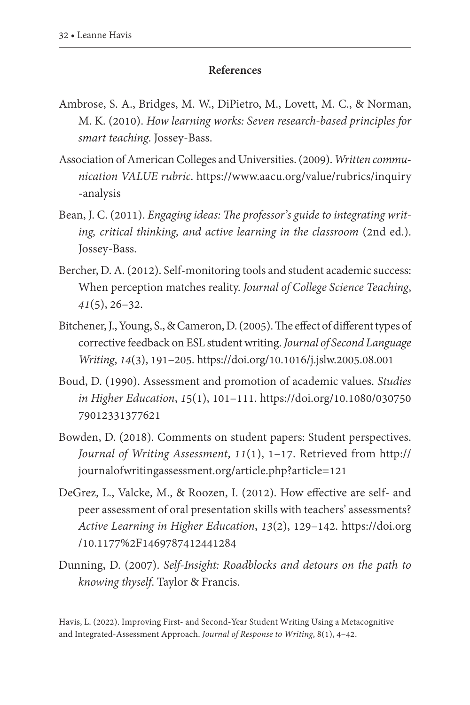#### **References**

- Ambrose, S. A., Bridges, M. W., DiPietro, M., Lovett, M. C., & Norman, M. K. (2010). *How learning works: Seven research-based principles for smart teaching*. Jossey-Bass.
- Association of American Colleges and Universities. (2009). *Written communication VALUE rubric*. [https://www.aacu.org/value/rubrics/inquiry](https://www.aacu.org/value/rubrics/inquiry-analysis) [-analysis](https://www.aacu.org/value/rubrics/inquiry-analysis)
- Bean, J. C. (2011). *Engaging ideas: The professor's guide to integrating writing, critical thinking, and active learning in the classroom* (2nd ed.). Jossey-Bass.
- Bercher, D. A. (2012). Self-monitoring tools and student academic success: When perception matches reality. *Journal of College Science Teaching*, *41*(5), 26–32.
- Bitchener, J., Young, S., & Cameron, D. (2005). The effect of different types of corrective feedback on ESL student writing. *Journal of Second Language Writing*, *14*(3), 191–205.<https://doi.org/10.1016/j.jslw.2005.08.001>
- Boud, D. (1990). Assessment and promotion of academic values. *Studies in Higher Education*, *1*5(1), 101–111. [https://doi.org/10.1080/030750](https://doi.org/10.1080/03075079012331377621) [79012331377621](https://doi.org/10.1080/03075079012331377621)
- Bowden, D. (2018). Comments on student papers: Student perspectives. *Journal of Writing Assessment*, *11*(1), 1–17. Retrieved from [http://](http://journalofwritingassessment.org/article.php?article=121) [journalofwritingassessment.org/article.php?article=121](http://journalofwritingassessment.org/article.php?article=121)
- DeGrez, L., Valcke, M., & Roozen, I. (2012). How effective are self- and peer assessment of oral presentation skills with teachers' assessments? *Active Learning in Higher Education*, *13*(2), 129–142. [https://doi.org](https://doi.org/10.1177%2F1469787412441284) [/10.1177%2F1469787412441284](https://doi.org/10.1177%2F1469787412441284)
- Dunning, D. (2007). *Self-Insight: Roadblocks and detours on the path to knowing thyself*. Taylor & Francis.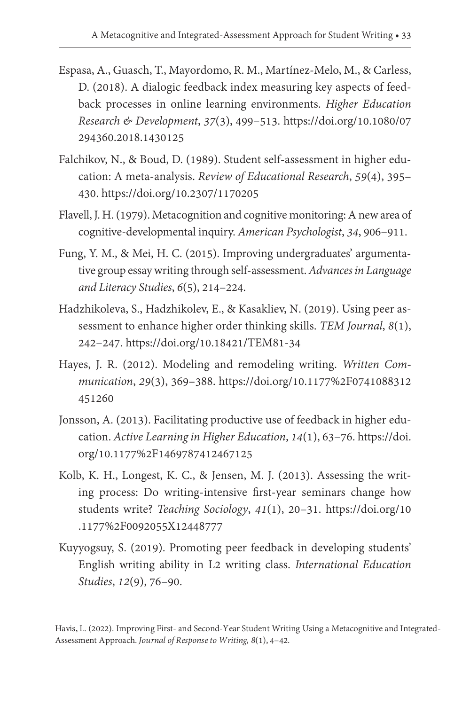- Espasa, A., Guasch, T., Mayordomo, R. M., Martínez-Melo, M., & Carless, D. (2018). A dialogic feedback index measuring key aspects of feedback processes in online learning environments. *Higher Education Research & Development*, *37*(3), 499–513. [https://doi.org/10.1080/07](https://doi.org/10.1080/07294360.2018.1430125) [294360.2018.1430125](https://doi.org/10.1080/07294360.2018.1430125)
- Falchikov, N., & Boud, D. (1989). Student self-assessment in higher education: A meta-analysis. *Review of Educational Research*, *59*(4), 395– 430. <https://doi.org/10.2307/1170205>
- Flavell, J. H. (1979). Metacognition and cognitive monitoring: A new area of cognitive-developmental inquiry. *American Psychologist*, *34*, 906–911.
- Fung, Y. M., & Mei, H. C. (2015). Improving undergraduates' argumentative group essay writing through self-assessment. *Advances in Language and Literacy Studies*, *6*(5), 214–224.
- Hadzhikoleva, S., Hadzhikolev, E., & Kasakliev, N. (2019). Using peer assessment to enhance higher order thinking skills. *TEM Journal*, *8*(1), 242–247.<https://doi.org/10.18421/TEM81-34>
- Hayes, J. R. (2012). Modeling and remodeling writing. *Written Com munication*, *29*(3), 369–388. [https://doi.org/10.1177%2F0741088312](https://doi.org/10.1177%2F0741088312451260) [451260](https://doi.org/10.1177%2F0741088312451260)
- Jonsson, A. (2013). Facilitating productive use of feedback in higher education. *Active Learning in Higher Education*, *14*(1), 63–76. [https://doi.](https://doi.org/10.1177%2F1469787412467125) [org/10.1177%2F1469787412467125](https://doi.org/10.1177%2F1469787412467125)
- Kolb, K. H., Longest, K. C., & Jensen, M. J. (2013). Assessing the writing process: Do writing-intensive first-year seminars change how students write? *Teaching Sociology*, *41*(1), 20–31. [https://doi.org/10](https://doi.org/10.1177%2F0092055X12448777) [.1177%2F0092055X12448777](https://doi.org/10.1177%2F0092055X12448777)
- Kuyyogsuy, S. (2019). Promoting peer feedback in developing students' English writing ability in L2 writing class. *International Education Studies*, *12*(9), 76–90.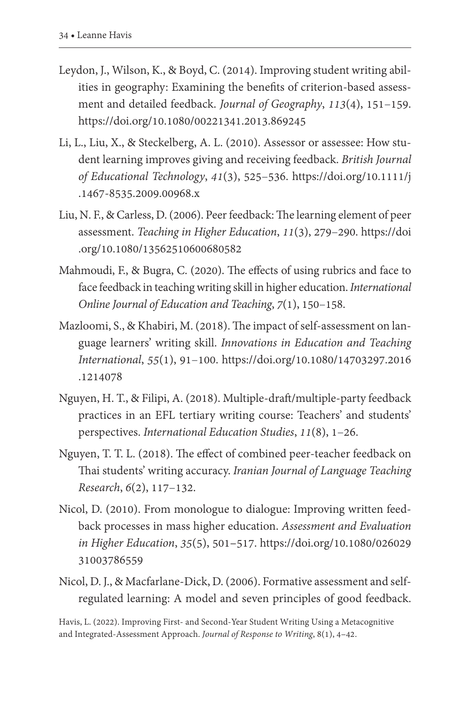- Leydon, J., Wilson, K., & Boyd, C. (2014). Improving student writing abilities in geography: Examining the benefits of criterion-based assessment and detailed feedback. *Journal of Geography*, *113*(4), 151–159. <https://doi.org/10.1080/00221341.2013.869245>
- Li, L., Liu, X., & Steckelberg, A. L. (2010). Assessor or assessee: How student learning improves giving and receiving feedback. *British Journal of Educational Technology*, *41*(3), 525–536. [https://doi.org/10.1111/j](https://doi.org/10.1111/j.1467-8535.2009.00968.x) [.1467-8535.2009.00968.x](https://doi.org/10.1111/j.1467-8535.2009.00968.x)
- Liu, N. F., & Carless, D. (2006). Peer feedback: The learning element of peer assessment. *Teaching in Higher Education*, *11*(3), 279–290. [https://doi](https://doi.org/10.1080/13562510600680582) [.org/10.1080/13562510600680582](https://doi.org/10.1080/13562510600680582)
- Mahmoudi, F., & Bugra, C. (2020). The effects of using rubrics and face to face feedback in teaching writing skill in higher education. *International Online Journal of Education and Teaching*, *7*(1), 150–158.
- Mazloomi, S., & Khabiri, M. (2018). The impact of self-assessment on language learners' writing skill. *Innovations in Education and Teaching International*, *55*(1), 91–100. [https://doi.org/10.1080/14703297.2016](https://doi.org/10.1080/14703297.2016.1214078) [.1214078](https://doi.org/10.1080/14703297.2016.1214078)
- Nguyen, H. T., & Filipi, A. (2018). Multiple-draft/multiple-party feedback practices in an EFL tertiary writing course: Teachers' and students' perspectives. *International Education Studies*, *11*(8), 1–26.
- Nguyen, T. T. L. (2018). The effect of combined peer-teacher feedback on Thai students' writing accuracy. *Iranian Journal of Language Teaching Research*, *6*(2), 117–132.
- Nicol, D. (2010). From monologue to dialogue: Improving written feed back processes in mass higher education. *Assessment and Evaluation in Higher Education*, *35*(5), 501–517. [https://doi.org/10.1080/026029](https://doi.org/10.1080/02602931003786559) [31003786559](https://doi.org/10.1080/02602931003786559)
- Nicol, D. J., & Macfarlane-Dick, D. (2006). Formative assessment and selfregulated learning: A model and seven principles of good feedback.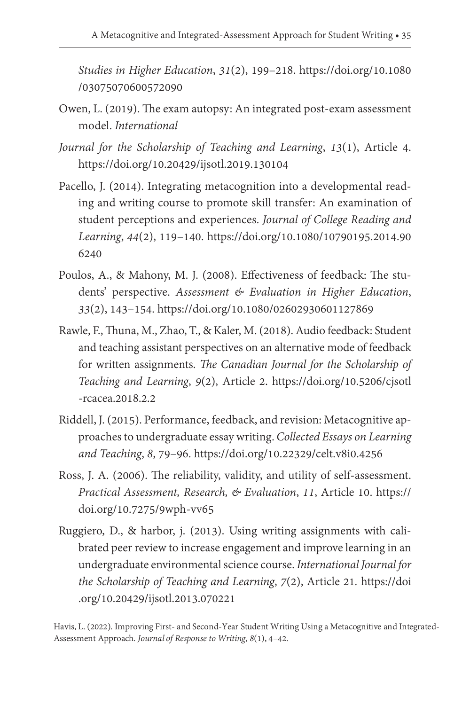*Studies in Higher Education*, *31*(2), 199–218. [https://doi.org/10.1080](https://doi.org/10.1080/03075070600572090) [/03075070600572090](https://doi.org/10.1080/03075070600572090)

- Owen, L. (2019). The exam autopsy: An integrated post-exam assessment model. *International*
- *Journal for the Scholarship of Teaching and Learning*, *13*(1), Article 4. <https://doi.org/10.20429/ijsotl.2019.130104>
- Pacello, J. (2014). Integrating metacognition into a developmental reading and writing course to promote skill transfer: An examination of student perceptions and experiences. *Journal of College Reading and Learning*, *44*(2), 119–140. [https://doi.org/10.1080/10790195.2014.90](https://doi.org/10.1080/10790195.2014.906240) [6240](https://doi.org/10.1080/10790195.2014.906240)
- Poulos, A., & Mahony, M. J. (2008). Effectiveness of feedback: The students' perspective. *Assessment & Evaluation in Higher Education*, *33*(2), 143–154. <https://doi.org/10.1080/02602930601127869>
- Rawle, F., Thuna, M., Zhao, T., & Kaler, M. (2018). Audio feedback: Student and teaching assistant perspectives on an alternative mode of feedback for written assignments. *The Canadian Journal for the Scholarship of Teaching and Learning*, *9*(2), Article 2. [https://doi.org/10.5206/cjsotl](https://doi.org/10.5206/cjsotl-rcacea.2018.2.2) [-rcacea.2018.2.2](https://doi.org/10.5206/cjsotl-rcacea.2018.2.2)
- Riddell, J. (2015). Performance, feedback, and revision: Metacognitive approaches to undergraduate essay writing. *Collected Essays on Learning and Teaching*, *8*, 79–96.<https://doi.org/10.22329/celt.v8i0.4256>
- Ross, J. A. (2006). The reliability, validity, and utility of self-assessment. *Practical Assessment, Research, & Evaluation*, *11*, Article 10. [https://](https://doi.org/10.7275/9wph-vv65) [doi.org/10.7275/9wph-vv65](https://doi.org/10.7275/9wph-vv65)
- Ruggiero, D., & harbor, j. (2013). Using writing assignments with calibrated peer review to increase engagement and improve learning in an undergraduate environmental science course. *International Journal for the Scholarship of Teaching and Learning*, *7*(2), Article 21*.* [https://doi](https://doi.org/10.20429/ijsotl.2013.070221) [.org/10.20429/ijsotl.2013.070221](https://doi.org/10.20429/ijsotl.2013.070221)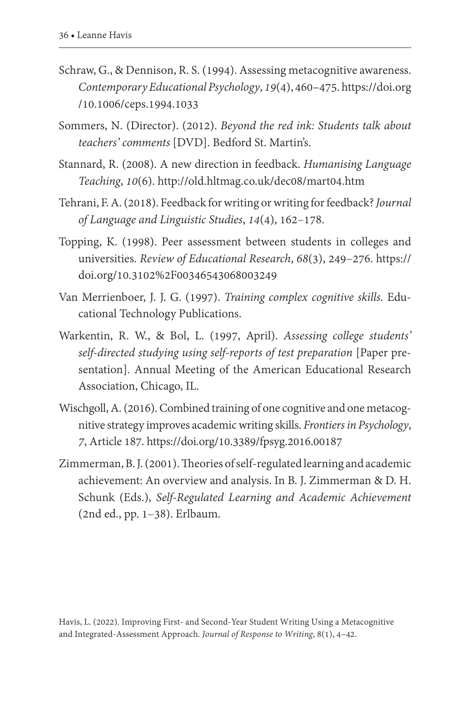- Schraw, G., & Dennison, R. S. (1994). Assessing metacognitive awareness. *Contemporary Educational Psychology*, *19*(4), 460–475. [https://doi.org](https://doi.org/10.1006/ceps.1994.1033) [/10.1006/ceps.1994.1033](https://doi.org/10.1006/ceps.1994.1033)
- Sommers, N. (Director). (2012). *Beyond the red ink: Students talk about teachers' comments* [DVD]. Bedford St. Martin's.
- Stannard, R. (2008). A new direction in feedback. *Humanising Language Teaching*, *10*(6). <http://old.hltmag.co.uk/dec08/mart04.htm>
- Tehrani, F. A. (2018). Feedback for writing or writing for feedback? *Journal of Language and Linguistic Studies*, *14*(4), 162–178.
- Topping, K. (1998). Peer assessment between students in colleges and universities. *Review of Educational Research*, *68*(3), 249–276. [https://](https://doi.org/10.3102%2F00346543068003249) [doi.org/10.3102%2F00346543068003249](https://doi.org/10.3102%2F00346543068003249)
- Van Merrienboer, J. J. G. (1997). *Training complex cognitive skills.* Educational Technology Publications.
- Warkentin, R. W., & Bol, L. (1997, April). *Assessing college students' self-directed studying using self-reports of test preparation* [Paper presentation]. Annual Meeting of the American Educational Research Association, Chicago, IL.
- Wischgoll, A. (2016). Combined training of one cognitive and one metacognitive strategy improves academic writing skills. *Frontiers in Psychology*, *7*, Article 187. <https://doi.org/10.3389/fpsyg.2016.00187>
- Zimmerman, B. J. (2001). Theories of self-regulated learning and academic achievement: An overview and analysis. In B. J. Zimmerman & D. H. Schunk (Eds.), *Self-Regulated Learning and Academic Achievement*  (2nd ed., pp. 1–38). Erlbaum.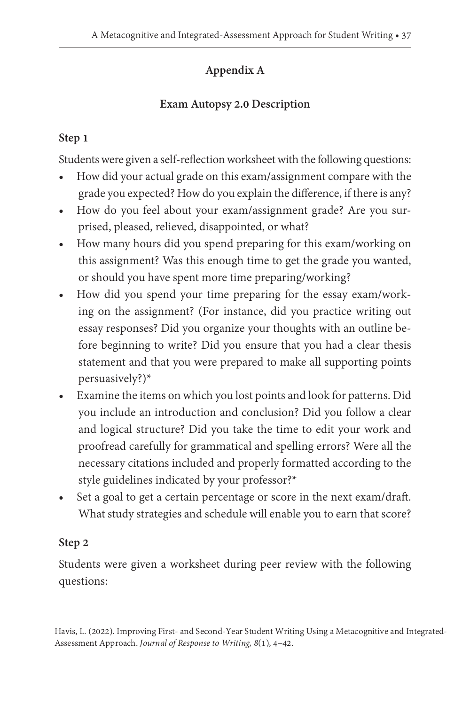## **Appendix A**

## **Exam Autopsy 2.0 Description**

## **Step 1**

Students were given a self-reflection worksheet with the following questions:

- How did your actual grade on this exam/assignment compare with the grade you expected? How do you explain the difference, if there is any?
- How do you feel about your exam/assignment grade? Are you surprised, pleased, relieved, disappointed, or what?
- How many hours did you spend preparing for this exam/working on this assignment? Was this enough time to get the grade you wanted, or should you have spent more time preparing/working?
- How did you spend your time preparing for the essay exam/working on the assignment? (For instance, did you practice writing out essay responses? Did you organize your thoughts with an outline before beginning to write? Did you ensure that you had a clear thesis statement and that you were prepared to make all supporting points persuasively?)\*
- Examine the items on which you lost points and look for patterns. Did you include an introduction and conclusion? Did you follow a clear and logical structure? Did you take the time to edit your work and proofread carefully for grammatical and spelling errors? Were all the necessary citations included and properly formatted according to the style guidelines indicated by your professor?\*
- Set a goal to get a certain percentage or score in the next exam/draft. What study strategies and schedule will enable you to earn that score?

## **Step 2**

Students were given a worksheet during peer review with the following questions: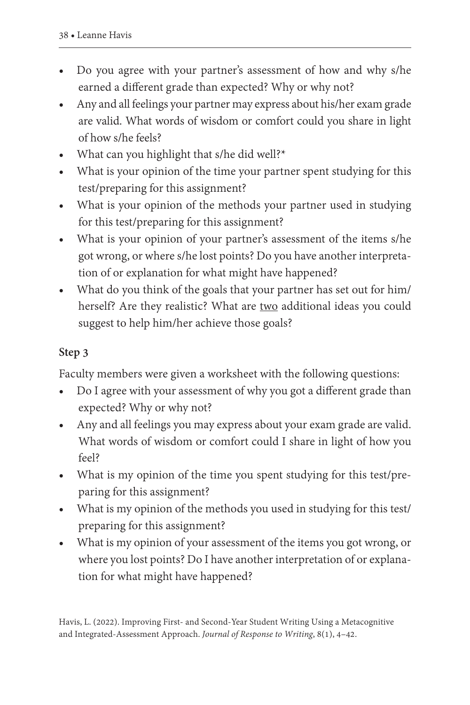- Do you agree with your partner's assessment of how and why s/he earned a different grade than expected? Why or why not?
- Any and all feelings your partner may express about his/her exam grade are valid. What words of wisdom or comfort could you share in light of how s/he feels?
- What can you highlight that s/he did well?\*
- What is your opinion of the time your partner spent studying for this test/preparing for this assignment?
- What is your opinion of the methods your partner used in studying for this test/preparing for this assignment?
- What is your opinion of your partner's assessment of the items s/he got wrong, or where s/he lost points? Do you have another interpretation of or explanation for what might have happened?
- What do you think of the goals that your partner has set out for him/ herself? Are they realistic? What are two additional ideas you could suggest to help him/her achieve those goals?

## **Step 3**

Faculty members were given a worksheet with the following questions:

- Do I agree with your assessment of why you got a different grade than expected? Why or why not?
- Any and all feelings you may express about your exam grade are valid. What words of wisdom or comfort could I share in light of how you feel?
- What is my opinion of the time you spent studying for this test/preparing for this assignment?
- What is my opinion of the methods you used in studying for this test/ preparing for this assignment?
- What is my opinion of your assessment of the items you got wrong, or where you lost points? Do I have another interpretation of or explanation for what might have happened?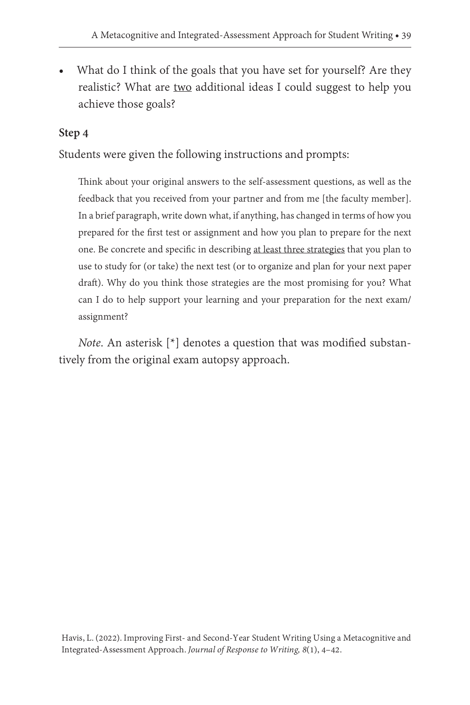• What do I think of the goals that you have set for yourself? Are they realistic? What are two additional ideas I could suggest to help you achieve those goals?

## **Step 4**

Students were given the following instructions and prompts:

Think about your original answers to the self-assessment questions, as well as the feedback that you received from your partner and from me [the faculty member]. In a brief paragraph, write down what, if anything, has changed in terms of how you prepared for the first test or assignment and how you plan to prepare for the next one. Be concrete and specific in describing at least three strategies that you plan to use to study for (or take) the next test (or to organize and plan for your next paper draft). Why do you think those strategies are the most promising for you? What can I do to help support your learning and your preparation for the next exam/ assignment?

*Note*. An asterisk [\*] denotes a question that was modified substantively from the original exam autopsy approach.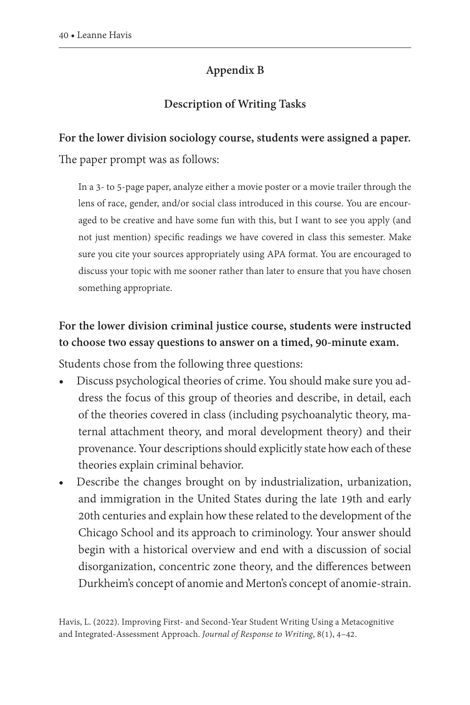## **Appendix B**

## **Description of Writing Tasks**

#### **For the lower division sociology course, students were assigned a paper.**

The paper prompt was as follows:

In a 3- to 5-page paper, analyze either a movie poster or a movie trailer through the lens of race, gender, and/or social class introduced in this course. You are encouraged to be creative and have some fun with this, but I want to see you apply (and not just mention) specific readings we have covered in class this semester. Make sure you cite your sources appropriately using APA format. You are encouraged to discuss your topic with me sooner rather than later to ensure that you have chosen something appropriate.

## **For the lower division criminal justice course, students were instructed to choose two essay questions to answer on a timed, 90-minute exam.**

Students chose from the following three questions:

- Discuss psychological theories of crime. You should make sure you address the focus of this group of theories and describe, in detail, each of the theories covered in class (including psychoanalytic theory, maternal attachment theory, and moral development theory) and their provenance. Your descriptions should explicitly state how each of these theories explain criminal behavior.
- Describe the changes brought on by industrialization, urbanization, and immigration in the United States during the late 19th and early 20th centuries and explain how these related to the development of the Chicago School and its approach to criminology. Your answer should begin with a historical overview and end with a discussion of social disorganization, concentric zone theory, and the differences between Durkheim's concept of anomie and Merton's concept of anomie-strain.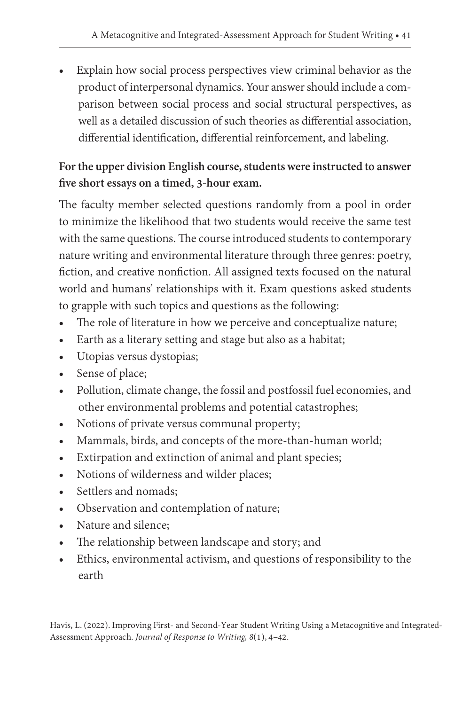• Explain how social process perspectives view criminal behavior as the product of interpersonal dynamics. Your answer should include a comparison between social process and social structural perspectives, as well as a detailed discussion of such theories as differential association, differential identification, differential reinforcement, and labeling.

## **For the upper division English course, students were instructed to answer five short essays on a timed, 3-hour exam.**

The faculty member selected questions randomly from a pool in order to minimize the likelihood that two students would receive the same test with the same questions. The course introduced students to contemporary nature writing and environmental literature through three genres: poetry, fiction, and creative nonfiction. All assigned texts focused on the natural world and humans' relationships with it. Exam questions asked students to grapple with such topics and questions as the following:

- The role of literature in how we perceive and conceptualize nature;
- Earth as a literary setting and stage but also as a habitat;
- Utopias versus dystopias;
- Sense of place;
- Pollution, climate change, the fossil and postfossil fuel economies, and other environmental problems and potential catastrophes;
- Notions of private versus communal property;
- Mammals, birds, and concepts of the more-than-human world;
- Extirpation and extinction of animal and plant species;
- Notions of wilderness and wilder places;
- Settlers and nomads;
- Observation and contemplation of nature;
- Nature and silence;
- The relationship between landscape and story; and
- Ethics, environmental activism, and questions of responsibility to the earth